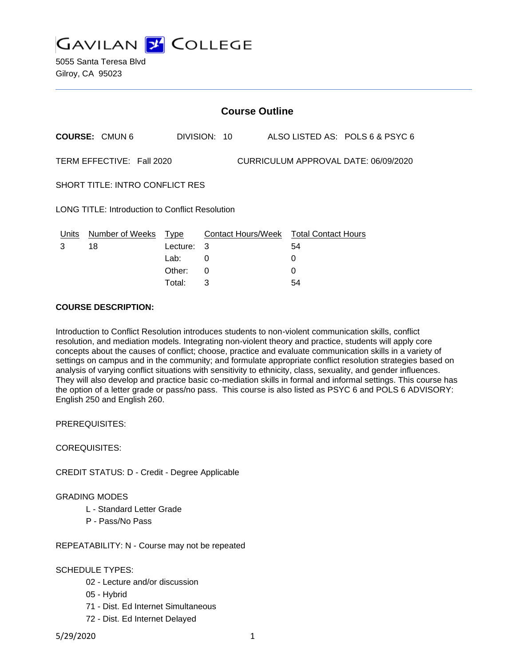

5055 Santa Teresa Blvd Gilroy, CA 95023

| <b>Course Outline</b>                                             |                      |          |                                        |  |    |                                 |  |
|-------------------------------------------------------------------|----------------------|----------|----------------------------------------|--|----|---------------------------------|--|
|                                                                   | <b>COURSE: CMUN6</b> |          | DIVISION: 10                           |  |    | ALSO LISTED AS: POLS 6 & PSYC 6 |  |
| CURRICULUM APPROVAL DATE: 06/09/2020<br>TERM EFFECTIVE: Fall 2020 |                      |          |                                        |  |    |                                 |  |
| SHORT TITLE: INTRO CONFLICT RES                                   |                      |          |                                        |  |    |                                 |  |
| LONG TITLE: Introduction to Conflict Resolution                   |                      |          |                                        |  |    |                                 |  |
| Units                                                             | Number of Weeks      | Type     | Contact Hours/Week Total Contact Hours |  |    |                                 |  |
| 3                                                                 | 18                   | Lecture: | -3                                     |  | 54 |                                 |  |
|                                                                   |                      | Lab:     | 0                                      |  | 0  |                                 |  |
|                                                                   |                      | Other:   | 0                                      |  | O  |                                 |  |

Total: 3 54

#### **COURSE DESCRIPTION:**

Introduction to Conflict Resolution introduces students to non-violent communication skills, conflict resolution, and mediation models. Integrating non-violent theory and practice, students will apply core concepts about the causes of conflict; choose, practice and evaluate communication skills in a variety of settings on campus and in the community; and formulate appropriate conflict resolution strategies based on analysis of varying conflict situations with sensitivity to ethnicity, class, sexuality, and gender influences. They will also develop and practice basic co-mediation skills in formal and informal settings. This course has the option of a letter grade or pass/no pass. This course is also listed as PSYC 6 and POLS 6 ADVISORY: English 250 and English 260.

PREREQUISITES:

COREQUISITES:

CREDIT STATUS: D - Credit - Degree Applicable

### GRADING MODES

- L Standard Letter Grade
- P Pass/No Pass

REPEATABILITY: N - Course may not be repeated

SCHEDULE TYPES:

- 02 Lecture and/or discussion
- 05 Hybrid
- 71 Dist. Ed Internet Simultaneous
- 72 Dist. Ed Internet Delayed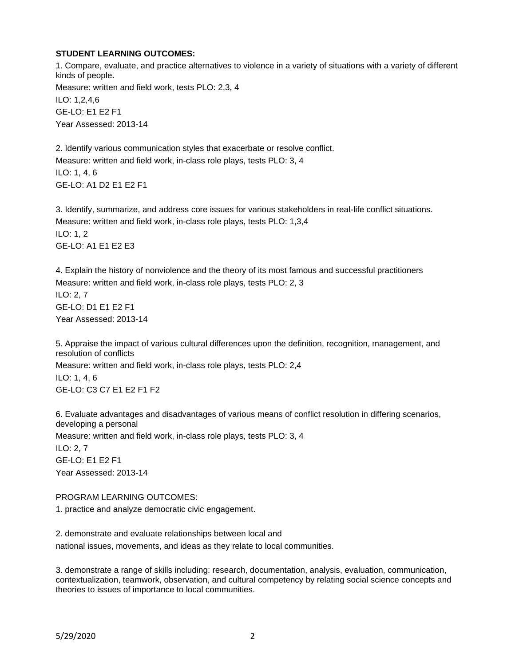#### **STUDENT LEARNING OUTCOMES:**

1. Compare, evaluate, and practice alternatives to violence in a variety of situations with a variety of different kinds of people. Measure: written and field work, tests PLO: 2,3, 4 ILO: 1,2,4,6 GE-LO: E1 E2 F1 Year Assessed: 2013-14

2. Identify various communication styles that exacerbate or resolve conflict. Measure: written and field work, in-class role plays, tests PLO: 3, 4 ILO: 1, 4, 6 GE-LO: A1 D2 E1 E2 F1

3. Identify, summarize, and address core issues for various stakeholders in real-life conflict situations. Measure: written and field work, in-class role plays, tests PLO: 1,3,4 ILO: 1, 2 GE-LO: A1 E1 E2 E3

4. Explain the history of nonviolence and the theory of its most famous and successful practitioners Measure: written and field work, in-class role plays, tests PLO: 2, 3 ILO: 2, 7 GE-LO: D1 E1 E2 F1 Year Assessed: 2013-14

5. Appraise the impact of various cultural differences upon the definition, recognition, management, and resolution of conflicts Measure: written and field work, in-class role plays, tests PLO: 2,4 ILO: 1, 4, 6 GE-LO: C3 C7 E1 E2 F1 F2

6. Evaluate advantages and disadvantages of various means of conflict resolution in differing scenarios, developing a personal Measure: written and field work, in-class role plays, tests PLO: 3, 4 ILO: 2, 7 GE-LO: E1 E2 F1 Year Assessed: 2013-14

### PROGRAM LEARNING OUTCOMES:

1. practice and analyze democratic civic engagement.

2. demonstrate and evaluate relationships between local and national issues, movements, and ideas as they relate to local communities.

3. demonstrate a range of skills including: research, documentation, analysis, evaluation, communication, contextualization, teamwork, observation, and cultural competency by relating social science concepts and theories to issues of importance to local communities.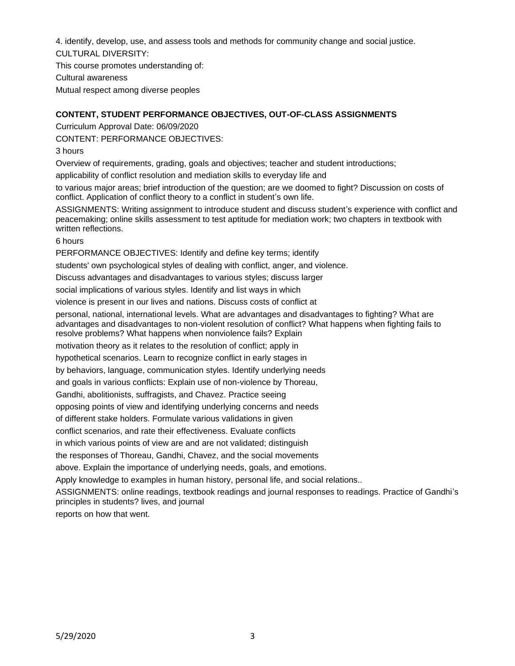4. identify, develop, use, and assess tools and methods for community change and social justice. CULTURAL DIVERSITY:

This course promotes understanding of: Cultural awareness Mutual respect among diverse peoples

# **CONTENT, STUDENT PERFORMANCE OBJECTIVES, OUT-OF-CLASS ASSIGNMENTS**

Curriculum Approval Date: 06/09/2020

CONTENT: PERFORMANCE OBJECTIVES:

3 hours

Overview of requirements, grading, goals and objectives; teacher and student introductions;

applicability of conflict resolution and mediation skills to everyday life and

to various major areas; brief introduction of the question; are we doomed to fight? Discussion on costs of conflict. Application of conflict theory to a conflict in student's own life.

ASSIGNMENTS: Writing assignment to introduce student and discuss student's experience with conflict and peacemaking; online skills assessment to test aptitude for mediation work; two chapters in textbook with written reflections.

6 hours

PERFORMANCE OBJECTIVES: Identify and define key terms; identify

students' own psychological styles of dealing with conflict, anger, and violence.

Discuss advantages and disadvantages to various styles; discuss larger

social implications of various styles. Identify and list ways in which

violence is present in our lives and nations. Discuss costs of conflict at

personal, national, international levels. What are advantages and disadvantages to fighting? What are advantages and disadvantages to non-violent resolution of conflict? What happens when fighting fails to resolve problems? What happens when nonviolence fails? Explain

motivation theory as it relates to the resolution of conflict; apply in

hypothetical scenarios. Learn to recognize conflict in early stages in

by behaviors, language, communication styles. Identify underlying needs

and goals in various conflicts: Explain use of non-violence by Thoreau,

Gandhi, abolitionists, suffragists, and Chavez. Practice seeing

opposing points of view and identifying underlying concerns and needs

of different stake holders. Formulate various validations in given

conflict scenarios, and rate their effectiveness. Evaluate conflicts

in which various points of view are and are not validated; distinguish

the responses of Thoreau, Gandhi, Chavez, and the social movements

above. Explain the importance of underlying needs, goals, and emotions.

Apply knowledge to examples in human history, personal life, and social relations..

ASSIGNMENTS: online readings, textbook readings and journal responses to readings. Practice of Gandhi's principles in students? lives, and journal

reports on how that went.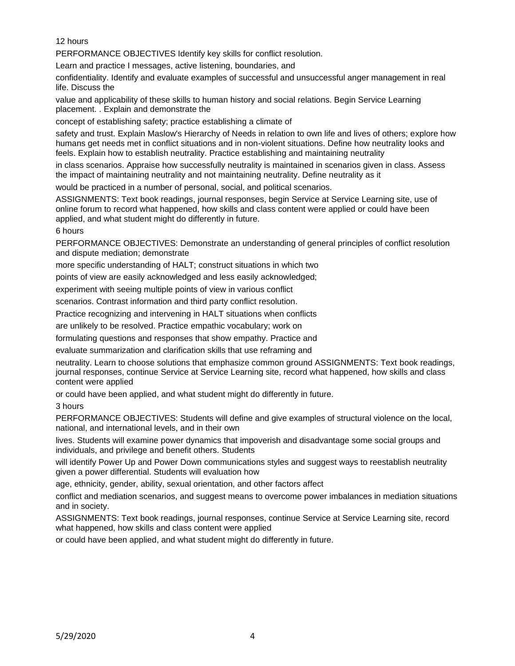12 hours

PERFORMANCE OBJECTIVES Identify key skills for conflict resolution.

Learn and practice I messages, active listening, boundaries, and

confidentiality. Identify and evaluate examples of successful and unsuccessful anger management in real life. Discuss the

value and applicability of these skills to human history and social relations. Begin Service Learning placement. . Explain and demonstrate the

concept of establishing safety; practice establishing a climate of

safety and trust. Explain Maslow's Hierarchy of Needs in relation to own life and lives of others; explore how humans get needs met in conflict situations and in non-violent situations. Define how neutrality looks and feels. Explain how to establish neutrality. Practice establishing and maintaining neutrality

in class scenarios. Appraise how successfully neutrality is maintained in scenarios given in class. Assess the impact of maintaining neutrality and not maintaining neutrality. Define neutrality as it

would be practiced in a number of personal, social, and political scenarios.

ASSIGNMENTS: Text book readings, journal responses, begin Service at Service Learning site, use of online forum to record what happened, how skills and class content were applied or could have been applied, and what student might do differently in future.

6 hours

PERFORMANCE OBJECTIVES: Demonstrate an understanding of general principles of conflict resolution and dispute mediation; demonstrate

more specific understanding of HALT; construct situations in which two

points of view are easily acknowledged and less easily acknowledged;

experiment with seeing multiple points of view in various conflict

scenarios. Contrast information and third party conflict resolution.

Practice recognizing and intervening in HALT situations when conflicts

are unlikely to be resolved. Practice empathic vocabulary; work on

formulating questions and responses that show empathy. Practice and

evaluate summarization and clarification skills that use reframing and

neutrality. Learn to choose solutions that emphasize common ground ASSIGNMENTS: Text book readings, journal responses, continue Service at Service Learning site, record what happened, how skills and class content were applied

or could have been applied, and what student might do differently in future.

3 hours

PERFORMANCE OBJECTIVES: Students will define and give examples of structural violence on the local, national, and international levels, and in their own

lives. Students will examine power dynamics that impoverish and disadvantage some social groups and individuals, and privilege and benefit others. Students

will identify Power Up and Power Down communications styles and suggest ways to reestablish neutrality given a power differential. Students will evaluation how

age, ethnicity, gender, ability, sexual orientation, and other factors affect

conflict and mediation scenarios, and suggest means to overcome power imbalances in mediation situations and in society.

ASSIGNMENTS: Text book readings, journal responses, continue Service at Service Learning site, record what happened, how skills and class content were applied

or could have been applied, and what student might do differently in future.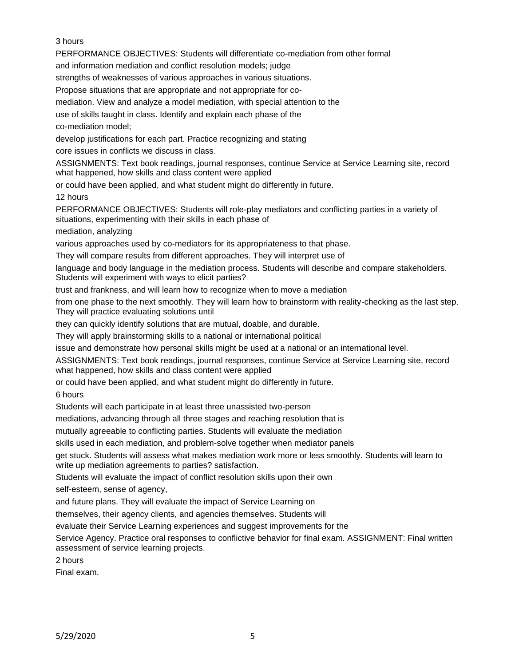# 3 hours

PERFORMANCE OBJECTIVES: Students will differentiate co-mediation from other formal

and information mediation and conflict resolution models; judge

strengths of weaknesses of various approaches in various situations.

Propose situations that are appropriate and not appropriate for co-

mediation. View and analyze a model mediation, with special attention to the

use of skills taught in class. Identify and explain each phase of the

co-mediation model;

develop justifications for each part. Practice recognizing and stating

core issues in conflicts we discuss in class.

ASSIGNMENTS: Text book readings, journal responses, continue Service at Service Learning site, record what happened, how skills and class content were applied

or could have been applied, and what student might do differently in future.

12 hours

PERFORMANCE OBJECTIVES: Students will role-play mediators and conflicting parties in a variety of situations, experimenting with their skills in each phase of

mediation, analyzing

various approaches used by co-mediators for its appropriateness to that phase.

They will compare results from different approaches. They will interpret use of

language and body language in the mediation process. Students will describe and compare stakeholders. Students will experiment with ways to elicit parties?

trust and frankness, and will learn how to recognize when to move a mediation

from one phase to the next smoothly. They will learn how to brainstorm with reality-checking as the last step. They will practice evaluating solutions until

they can quickly identify solutions that are mutual, doable, and durable.

They will apply brainstorming skills to a national or international political

issue and demonstrate how personal skills might be used at a national or an international level.

ASSIGNMENTS: Text book readings, journal responses, continue Service at Service Learning site, record what happened, how skills and class content were applied

or could have been applied, and what student might do differently in future.

6 hours

Students will each participate in at least three unassisted two-person

mediations, advancing through all three stages and reaching resolution that is

mutually agreeable to conflicting parties. Students will evaluate the mediation

skills used in each mediation, and problem-solve together when mediator panels

get stuck. Students will assess what makes mediation work more or less smoothly. Students will learn to write up mediation agreements to parties? satisfaction.

Students will evaluate the impact of conflict resolution skills upon their own

self-esteem, sense of agency,

and future plans. They will evaluate the impact of Service Learning on

themselves, their agency clients, and agencies themselves. Students will

evaluate their Service Learning experiences and suggest improvements for the

Service Agency. Practice oral responses to conflictive behavior for final exam. ASSIGNMENT: Final written assessment of service learning projects.

2 hours

Final exam.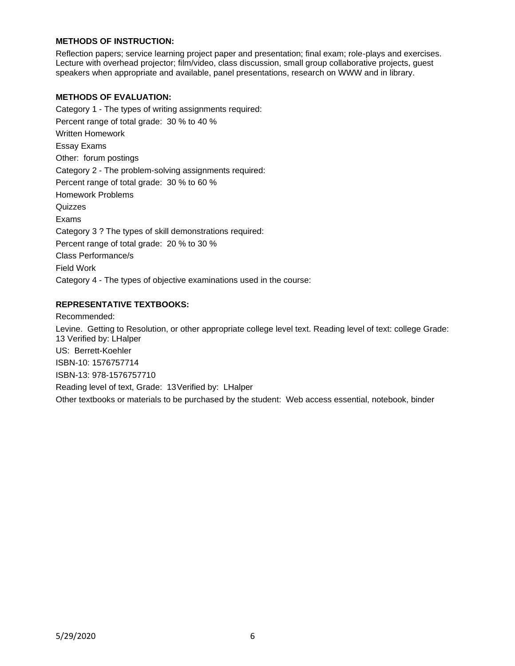### **METHODS OF INSTRUCTION:**

Reflection papers; service learning project paper and presentation; final exam; role-plays and exercises. Lecture with overhead projector; film/video, class discussion, small group collaborative projects, guest speakers when appropriate and available, panel presentations, research on WWW and in library.

### **METHODS OF EVALUATION:**

Category 1 - The types of writing assignments required: Percent range of total grade: 30 % to 40 % Written Homework Essay Exams Other: forum postings Category 2 - The problem-solving assignments required: Percent range of total grade: 30 % to 60 % Homework Problems Quizzes Exams Category 3 ? The types of skill demonstrations required: Percent range of total grade: 20 % to 30 % Class Performance/s Field Work Category 4 - The types of objective examinations used in the course:

### **REPRESENTATIVE TEXTBOOKS:**

Recommended: Levine. Getting to Resolution, or other appropriate college level text. Reading level of text: college Grade: 13 Verified by: LHalper US: Berrett-Koehler ISBN-10: 1576757714 ISBN-13: 978-1576757710 Reading level of text, Grade: 13Verified by: LHalper Other textbooks or materials to be purchased by the student: Web access essential, notebook, binder